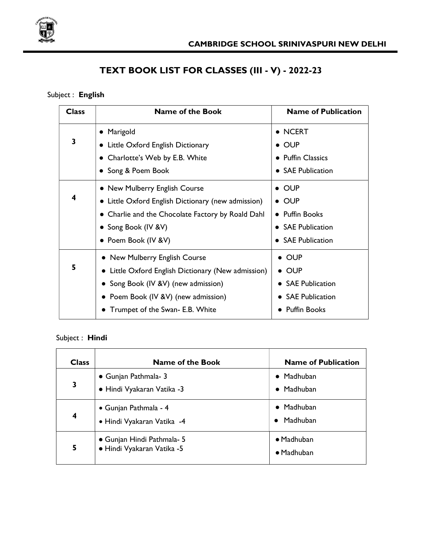

# TEXT BOOK LIST FOR CLASSES (III - V) - 2022-23

### Subject : English

| <b>Class</b> | <b>Name of the Book</b>                                    | <b>Name of Publication</b>          |
|--------------|------------------------------------------------------------|-------------------------------------|
|              | Marigold<br>$\bullet$                                      | • NCERT                             |
| 3            | Little Oxford English Dictionary                           | $\bullet$ OUP                       |
|              | Charlotte's Web by E.B. White                              | • Puffin Classics                   |
|              | • Song & Poem Book                                         | • SAE Publication                   |
|              | • New Mulberry English Course                              | $\bullet$ OUP                       |
| 4            | • Little Oxford English Dictionary (new admission)         | $\bullet$ OUP                       |
|              | • Charlie and the Chocolate Factory by Roald Dahl          | • Puffin Books                      |
|              | • Song Book (IV & V)                                       | • SAE Publication                   |
|              | • Poem Book (IV & V)                                       | <b>SAE Publication</b>              |
|              | • New Mulberry English Course                              | $\bullet$ OUP                       |
| 5            | $\bullet$ Little Oxford English Dictionary (New admission) | $\bullet$ OUP                       |
|              | • Song Book (IV &V) (new admission)                        | • SAE Publication                   |
|              | • Poem Book (IV & V) (new admission)                       | <b>SAE Publication</b><br>$\bullet$ |
|              | Trumpet of the Swan- E.B. White                            | <b>Puffin Books</b>                 |

### Subject : Hindi

| <b>Class</b> | Name of the Book                                         | <b>Name of Publication</b>               |
|--------------|----------------------------------------------------------|------------------------------------------|
| 3            | • Gunjan Pathmala- 3<br>· Hindi Vyakaran Vatika -3       | $\bullet$ Madhuban<br>$\bullet$ Madhuban |
| 4            | • Gunjan Pathmala - 4<br>· Hindi Vyakaran Vatika -4      | $\bullet$ Madhuban<br>Madhuban           |
| 5            | • Gunjan Hindi Pathmala- 5<br>· Hindi Vyakaran Vatika -5 | $\bullet$ Madhuban<br>• Madhuban         |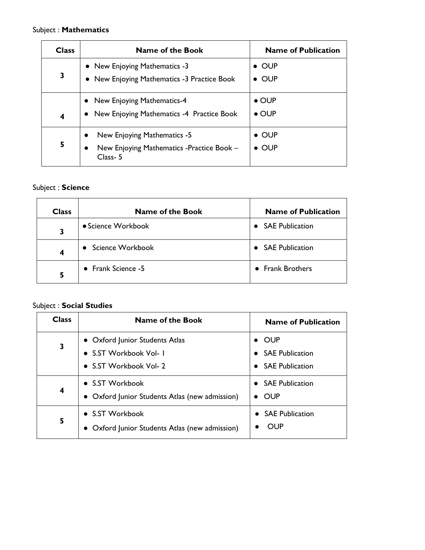#### Subject : Mathematics

| <b>Class</b>            | <b>Name of the Book</b>                                                                           | <b>Name of Publication</b>     |
|-------------------------|---------------------------------------------------------------------------------------------------|--------------------------------|
| 3                       | • New Enjoying Mathematics -3<br>• New Enjoying Mathematics -3 Practice Book                      | $\bullet$ OUP<br>$\bullet$ OUP |
| $\overline{\mathbf{4}}$ | • New Enjoying Mathematics-4<br>• New Enjoying Mathematics -4 Practice Book                       | $\bullet$ OUP<br>$\bullet$ OUP |
| 5                       | New Enjoying Mathematics -5<br>New Enjoying Mathematics -Practice Book -<br>$\bullet$<br>Class- 5 | $\bullet$ OUP<br>$\bullet$ OUP |

### Subject : Science

| <b>Class</b> | <b>Name of the Book</b> | <b>Name of Publication</b> |
|--------------|-------------------------|----------------------------|
| 3            | • Science Workbook      | <b>SAE Publication</b>     |
| 4            | • Science Workbook      | • SAE Publication          |
| 5            | • Frank Science -5      | • Frank Brothers           |

#### Subject : Social Studies

| <b>Class</b> | Name of the Book                                                  | <b>Name of Publication</b>      |
|--------------|-------------------------------------------------------------------|---------------------------------|
| 3            | • Oxford Junior Students Atlas<br>• S.ST Workbook Vol- I          | <b>OUP</b><br>• SAE Publication |
|              | • S.ST Workbook Vol- 2                                            | • SAE Publication               |
| 4            | • S.ST Workbook<br>• Oxford Junior Students Atlas (new admission) | • SAE Publication<br>OUP        |
| 5            | • S.ST Workbook<br>Oxford Junior Students Atlas (new admission)   | • SAE Publication<br>OUP        |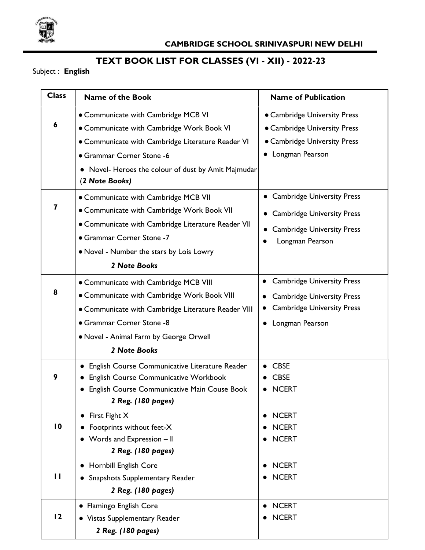

# TEXT BOOK LIST FOR CLASSES (VI - XII) - 2022-23

Subject : English

| <b>Class</b>    | <b>Name of the Book</b>                                      | <b>Name of Publication</b>                     |
|-----------------|--------------------------------------------------------------|------------------------------------------------|
|                 | • Communicate with Cambridge MCB VI                          | • Cambridge University Press                   |
| 6               | • Communicate with Cambridge Work Book VI                    | • Cambridge University Press                   |
|                 | • Communicate with Cambridge Literature Reader VI            | • Cambridge University Press                   |
|                 | • Grammar Corner Stone -6                                    | • Longman Pearson                              |
|                 | • Novel- Heroes the colour of dust by Amit Majmudar          |                                                |
|                 | (2 Note Books)                                               |                                                |
|                 | • Communicate with Cambridge MCB VII                         | • Cambridge University Press                   |
| 7               | • Communicate with Cambridge Work Book VII                   | <b>Cambridge University Press</b><br>$\bullet$ |
|                 | • Communicate with Cambridge Literature Reader VII           | <b>Cambridge University Press</b><br>$\bullet$ |
|                 | • Grammar Corner Stone -7                                    | Longman Pearson<br>$\bullet$                   |
|                 | • Novel - Number the stars by Lois Lowry                     |                                                |
|                 | 2 Note Books                                                 |                                                |
|                 | • Communicate with Cambridge MCB VIII                        | <b>Cambridge University Press</b><br>$\bullet$ |
| 8               | • Communicate with Cambridge Work Book VIII                  | <b>Cambridge University Press</b>              |
|                 | • Communicate with Cambridge Literature Reader VIII          | <b>Cambridge University Press</b><br>$\bullet$ |
|                 | • Grammar Corner Stone -8                                    | Longman Pearson<br>$\bullet$                   |
|                 | . Novel - Animal Farm by George Orwell                       |                                                |
|                 | 2 Note Books                                                 |                                                |
|                 | English Course Communicative Literature Reader<br>$\bullet$  | <b>CBSE</b>                                    |
| 9               | English Course Communicative Workbook                        | <b>CBSE</b>                                    |
|                 | English Course Communicative Main Couse Book<br>$\bullet$    | <b>NCERT</b>                                   |
|                 | 2 Reg. (180 pages)                                           |                                                |
|                 | First Fight X<br>$\bullet$                                   | <b>NCERT</b><br>$\bullet$                      |
| $\overline{10}$ | Footprints without feet-X                                    | <b>NCERT</b>                                   |
|                 | Words and Expression - II<br>$\bullet$<br>2 Reg. (180 pages) | <b>NCERT</b>                                   |
|                 | • Hornbill English Core                                      | <b>NCERT</b><br>$\bullet$                      |
| П               | • Snapshots Supplementary Reader                             | <b>NCERT</b>                                   |
|                 | 2 Reg. (180 pages)                                           |                                                |
|                 | • Flamingo English Core                                      | <b>NCERT</b>                                   |
| 12              | • Vistas Supplementary Reader                                | <b>NCERT</b>                                   |
|                 | 2 Reg. (180 pages)                                           |                                                |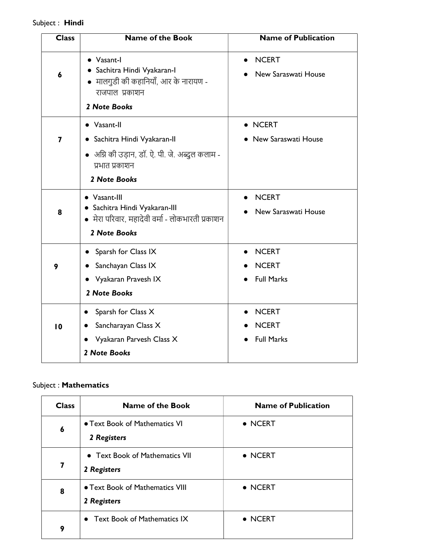### Subject : Hindi

| <b>Class</b> | <b>Name of the Book</b>                                                                                          | <b>Name of Publication</b>                       |
|--------------|------------------------------------------------------------------------------------------------------------------|--------------------------------------------------|
| 6            | • Vasant-I<br>• Sachitra Hindi Vyakaran-I<br>• मालगुडी की कहानियाँ, आर के नारायण -<br>राजपाल प्रकाशन             | <b>NCERT</b><br>New Saraswati House              |
|              | 2 Note Books                                                                                                     |                                                  |
|              | • Vasant-II                                                                                                      | • NCERT                                          |
| 7            | Sachitra Hindi Vyakaran-II                                                                                       | New Saraswati House                              |
|              | • अग्नि की उड़ान, डॉ. ऐ. पी. जे. अब्दुल कलाम -<br>प्रभात प्रकाशन                                                 |                                                  |
|              | 2 Note Books                                                                                                     |                                                  |
| 8            | • Vasant-III<br>· Sachitra Hindi Vyakaran-III<br>• मेरा परिवार, महादेवी वर्मा - लोकभारती प्रकाशन<br>2 Note Books | <b>NCERT</b><br>$\bullet$<br>New Saraswati House |
|              | Sparsh for Class IX                                                                                              | <b>NCERT</b>                                     |
| 9            | Sanchayan Class IX                                                                                               | <b>NCERT</b>                                     |
|              | • Vyakaran Pravesh IX                                                                                            | <b>Full Marks</b>                                |
|              | 2 Note Books                                                                                                     |                                                  |
|              | Sparsh for Class X                                                                                               | <b>NCERT</b>                                     |
| 10           | Sancharayan Class X<br>$\bullet$                                                                                 | <b>NCERT</b>                                     |
|              | Vyakaran Parvesh Class X<br>$\bullet$                                                                            | <b>Full Marks</b>                                |
|              | 2 Note Books                                                                                                     |                                                  |

### Subject : Mathematics

| <b>Class</b> | <b>Name of the Book</b>                        | <b>Name of Publication</b> |
|--------------|------------------------------------------------|----------------------------|
| 6            | • Text Book of Mathematics VI<br>2 Registers   | $\bullet$ NCERT            |
| 7            | • Text Book of Mathematics VII<br>2 Registers  | $\bullet$ NCERT            |
| 8            | • Text Book of Mathematics VIII<br>2 Registers | $\bullet$ NCERT            |
| 9            | • Text Book of Mathematics IX                  | $\bullet$ NCERT            |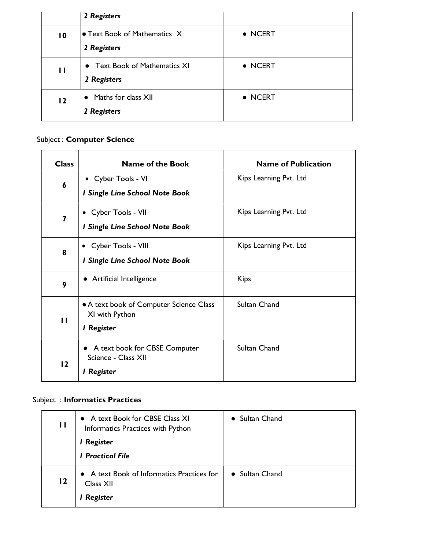|                 | 2 Registers                                  |                 |
|-----------------|----------------------------------------------|-----------------|
| $\overline{10}$ | • Text Book of Mathematics X<br>2 Registers  | • NCERT         |
| $\mathbf{I}$    | • Text Book of Mathematics XI<br>2 Registers | $\bullet$ NCERT |
| 12              | • Maths for class XII<br>2 Registers         | • NCERT         |

## Subject : Computer Science

| <b>Class</b>            | <b>Name of the Book</b>                                                 | <b>Name of Publication</b> |
|-------------------------|-------------------------------------------------------------------------|----------------------------|
| $\boldsymbol{6}$        | • Cyber Tools - VI<br>I Single Line School Note Book                    | Kips Learning Pvt. Ltd     |
| $\overline{\mathbf{z}}$ | • Cyber Tools - VII<br>I Single Line School Note Book                   | Kips Learning Pvt. Ltd     |
| 8                       | • Cyber Tools - VIII<br>I Single Line School Note Book                  | Kips Learning Pvt. Ltd     |
| 9                       | • Artificial Intelligence                                               | <b>Kips</b>                |
| $\mathbf{H}$            | • A text book of Computer Science Class<br>XI with Python<br>I Register | Sultan Chand               |
| 12                      | • A text book for CBSE Computer<br>Science - Class XII<br>I Register    | Sultan Chand               |

### Subject : Informatics Practices

| П  | • A text Book for CBSE Class XI<br>Informatics Practices with Python<br>I Register<br><b>I</b> Practical File | • Sultan Chand |
|----|---------------------------------------------------------------------------------------------------------------|----------------|
| 12 | • A text Book of Informatics Practices for<br>Class XII<br>Register                                           | • Sultan Chand |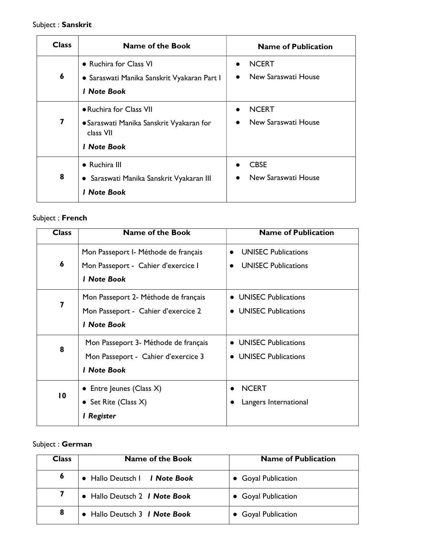## Subject : Sanskrit

| <b>Class</b> | <b>Name of the Book</b>                                                                                | <b>Name of Publication</b>                       |
|--------------|--------------------------------------------------------------------------------------------------------|--------------------------------------------------|
| 6            | • Ruchira for Class VI<br>• Saraswati Manika Sanskrit Vyakaran Part I<br><b>I</b> Note Book            | <b>NCERT</b><br>$\bullet$<br>New Saraswati House |
| 7            | · Ruchira for Class VII<br>· Saraswati Manika Sanskrit Vyakaran for<br>class VII<br><b>I</b> Note Book | <b>NCERT</b><br>New Saraswati House              |
| 8            | • Ruchira III<br>• Saraswati Manika Sanskrit Vyakaran III<br><b>I</b> Note Book                        | <b>CBSE</b><br>New Saraswati House               |

### Subject : French

| <b>Class</b>    | <b>Name of the Book</b>              | <b>Name of Publication</b>              |
|-----------------|--------------------------------------|-----------------------------------------|
|                 | Mon Passeport I- Méthode de français | <b>UNISEC Publications</b>              |
| 6               | Mon Passeport - Cahier d'exercice l  | <b>UNISEC Publications</b><br>$\bullet$ |
|                 | <b>1 Note Book</b>                   |                                         |
|                 | Mon Passeport 2- Méthode de français | • UNISEC Publications                   |
| 7               | Mon Passeport - Cahier d'exercice 2  | <b>UNISEC Publications</b><br>$\bullet$ |
|                 | <b>I</b> Note Book                   |                                         |
|                 | Mon Passeport 3- Méthode de français | <b>UNISEC Publications</b>              |
| 8               | Mon Passeport - Cahier d'exercice 3  | • UNISEC Publications                   |
|                 | <b>I</b> Note Book                   |                                         |
|                 | • Entre Jeunes (Class $X$ )          | <b>NCERT</b>                            |
| $\overline{10}$ | • Set Rite (Class $X$ )              | Langers International                   |
|                 | l Register                           |                                         |

## Subject : German

| <b>Class</b> | <b>Name of the Book</b>              | <b>Name of Publication</b> |
|--------------|--------------------------------------|----------------------------|
| 6            | • Hallo Deutsch   <i>I Note Book</i> | • Goyal Publication        |
|              | • Hallo Deutsch 2 <i>I Note Book</i> | • Goyal Publication        |
| 8            | • Hallo Deutsch 3 <i>I Note Book</i> | • Goyal Publication        |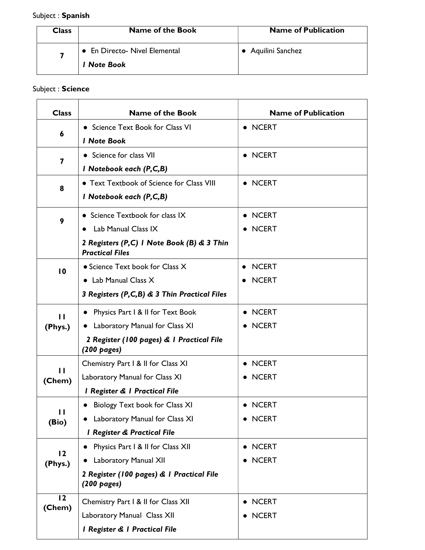## Subject : Spanish

| <b>Class</b> | <b>Name of the Book</b>       | <b>Name of Publication</b> |
|--------------|-------------------------------|----------------------------|
|              | • En Directo- Nivel Elemental | • Aquilini Sanchez         |
|              | <b>1 Note Book</b>            |                            |

### Subject : Science

| <b>Class</b>    | <b>Name of the Book</b>                                              | <b>Name of Publication</b> |
|-----------------|----------------------------------------------------------------------|----------------------------|
|                 | • Science Text Book for Class VI                                     | • NCERT                    |
| 6               | <b>I</b> Note Book                                                   |                            |
|                 | • Science for class VII                                              | • NCERT                    |
| 7               | I Notebook each (P,C,B)                                              |                            |
| 8               | • Text Textbook of Science for Class VIII                            | • NCERT                    |
|                 | I Notebook each (P,C,B)                                              |                            |
| 9               | • Science Textbook for class IX                                      | • NCERT                    |
|                 | Lab Manual Class IX                                                  | <b>NCERT</b>               |
|                 | 2 Registers (P,C) I Note Book (B) & 3 Thin<br><b>Practical Files</b> |                            |
| $\overline{10}$ | • Science Text book for Class X                                      | <b>NCERT</b><br>$\bullet$  |
|                 | $\bullet$ Lab Manual Class $X$                                       | <b>NCERT</b>               |
|                 | 3 Registers (P,C,B) & 3 Thin Practical Files                         |                            |
| п               | Physics Part I & II for Text Book                                    | • NCERT                    |
| (Phys.)         | • Laboratory Manual for Class XI                                     | <b>NCERT</b>               |
|                 | 2 Register (100 pages) & 1 Practical File<br>(200 pages)             |                            |
|                 | Chemistry Part I & II for Class XI                                   | <b>NCERT</b>               |
| п<br>(Chem)     | Laboratory Manual for Class XI                                       | • NCERT                    |
|                 | I Register & I Practical File                                        |                            |
| П               | Biology Text book for Class XI                                       | <b>NCERT</b>               |
| (Bio)           | Laboratory Manual for Class XI                                       | • NCERT                    |
|                 | <b>I Register &amp; Practical File</b>                               |                            |
| 12              | Physics Part I & II for Class XII                                    | • NCERT                    |
| (Phys.)         | Laboratory Manual XII                                                | <b>NCERT</b>               |
|                 | 2 Register (100 pages) & I Practical File<br>$(200 \text{ pages})$   |                            |
| 12<br>(Chem)    | Chemistry Part I & II for Class XII                                  | <b>NCERT</b>               |
|                 | Laboratory Manual Class XII                                          | <b>NCERT</b>               |
|                 | I Register & I Practical File                                        |                            |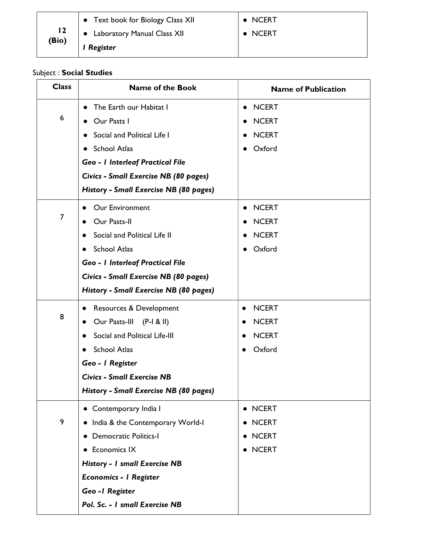|              | Text book for Biology Class XII | $\bullet$ NCERT |
|--------------|---------------------------------|-----------------|
| l 2<br>(Bio) | • Laboratory Manual Class XII   | $\bullet$ NCERT |
|              | I Register                      |                 |

### Subject : Social Studies

| <b>Class</b> | <b>Name of the Book</b>                  | <b>Name of Publication</b> |
|--------------|------------------------------------------|----------------------------|
|              | The Earth our Habitat I<br>$\bullet$     | <b>NCERT</b><br>$\bullet$  |
| 6            | Our Pasts I                              | <b>NCERT</b>               |
|              | Social and Political Life I<br>$\bullet$ | <b>NCERT</b>               |
|              | <b>School Atlas</b><br>$\bullet$         | Oxford<br>$\bullet$        |
|              | <b>Geo - I Interleaf Practical File</b>  |                            |
|              | Civics - Small Exercise NB (80 pages)    |                            |
|              | History - Small Exercise NB (80 pages)   |                            |
|              | Our Environment<br>$\bullet$             | <b>NCERT</b><br>$\bullet$  |
| 7            | Our Pasts-II                             | <b>NCERT</b>               |
|              | Social and Political Life II             | <b>NCERT</b>               |
|              | <b>School Atlas</b>                      | Oxford                     |
|              | <b>Geo - I Interleaf Practical File</b>  |                            |
|              | Civics - Small Exercise NB (80 pages)    |                            |
|              | History - Small Exercise NB (80 pages)   |                            |
|              | Resources & Development                  | <b>NCERT</b><br>$\bullet$  |
| 8            | Our Pasts-III<br>$(P-I & H)$             | <b>NCERT</b>               |
|              | Social and Political Life-III            | <b>NCERT</b>               |
|              | <b>School Atlas</b>                      | Oxford<br>●                |
|              | Geo - I Register                         |                            |
|              | <b>Civics - Small Exercise NB</b>        |                            |
|              | History - Small Exercise NB (80 pages)   |                            |
|              | • Contemporary India I                   | • NCERT                    |
| 9            | . India & the Contemporary World-I       | • NCERT                    |
|              | • Democratic Politics-I                  | • NCERT                    |
|              | <b>Economics IX</b><br>$\bullet$         | • NCERT                    |
|              | <b>History - I small Exercise NB</b>     |                            |
|              | <b>Economics - I Register</b>            |                            |
|              | Geo-I Register                           |                            |
|              | Pol. Sc. - I small Exercise NB           |                            |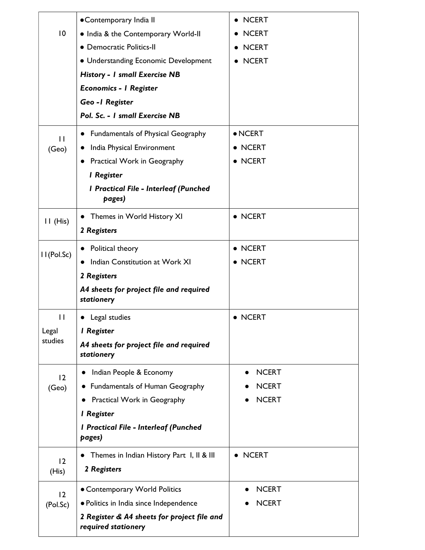|                 | • Contemporary India II                                            | <b>NCERT</b>              |
|-----------------|--------------------------------------------------------------------|---------------------------|
| $\overline{10}$ | . India & the Contemporary World-II                                | <b>NCERT</b>              |
|                 | • Democratic Politics-II                                           | • NCERT                   |
|                 | • Understanding Economic Development                               | <b>NCERT</b>              |
|                 | <b>History - I small Exercise NB</b>                               |                           |
|                 | <b>Economics - I Register</b>                                      |                           |
|                 | Geo - I Register                                                   |                           |
|                 | Pol. Sc. - I small Exercise NB                                     |                           |
| $\mathsf{H}$    | <b>Fundamentals of Physical Geography</b>                          | $\bullet$ NCERT           |
| (Geo)           | India Physical Environment<br>$\bullet$                            | • NCERT                   |
|                 | <b>Practical Work in Geography</b><br>$\bullet$                    | <b>NCERT</b><br>$\bullet$ |
|                 | <b>I</b> Register                                                  |                           |
|                 | <b>I Practical File - Interleaf (Punched</b><br>pages)             |                           |
|                 | Themes in World History XI<br>$\bullet$                            | • NCERT                   |
| $II$ (His)      | 2 Registers                                                        |                           |
|                 | Political theory<br>$\bullet$                                      | • NCERT                   |
| II(Pol.Sc)      | Indian Constitution at Work XI                                     | • NCERT                   |
|                 | 2 Registers                                                        |                           |
|                 | A4 sheets for project file and required<br>stationery              |                           |
| П               | Legal studies<br>$\bullet$                                         | • NCERT                   |
| Legal           | <b>I</b> Register                                                  |                           |
| studies         | A4 sheets for project file and required<br>stationery              |                           |
| 12              | Indian People & Economy                                            | <b>NCERT</b>              |
| (Geo)           | <b>Fundamentals of Human Geography</b>                             | <b>NCERT</b>              |
|                 | Practical Work in Geography                                        | <b>NCERT</b>              |
|                 | <b>I</b> Register                                                  |                           |
|                 | I Practical File - Interleaf (Punched<br>pages)                    |                           |
|                 | Themes in Indian History Part I, II & III<br>$\bullet$             | • NCERT                   |
| 12<br>(His)     | 2 Registers                                                        |                           |
| 12              | • Contemporary World Politics                                      | <b>NCERT</b>              |
| (Pol.Sc)        | · Politics in India since Independence                             | <b>NCERT</b>              |
|                 | 2 Register & A4 sheets for project file and<br>required stationery |                           |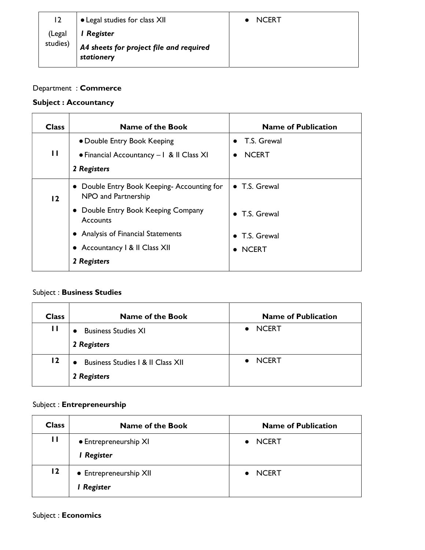| 12       | <b>.</b> Legal studies for class XII                  | NCFRT |
|----------|-------------------------------------------------------|-------|
| (Legal   | Register                                              |       |
| studies) | A4 sheets for project file and required<br>stationery |       |

### Department : Commerce

### Subject : Accountancy

| <b>Class</b> | <b>Name of the Book</b>                                           | <b>Name of Publication</b> |
|--------------|-------------------------------------------------------------------|----------------------------|
|              | • Double Entry Book Keeping                                       | T.S. Grewal<br>$\bullet$   |
| $\mathbf{H}$ | • Financial Accountancy - 1 & II Class XI                         | <b>NCERT</b><br>$\bullet$  |
|              | 2 Registers                                                       |                            |
| 12           | • Double Entry Book Keeping-Accounting for<br>NPO and Partnership | • T.S. Grewal              |
|              | • Double Entry Book Keeping Company<br>Accounts                   | $\bullet$ T.S. Grewal      |
|              | • Analysis of Financial Statements                                | • T.S. Grewal              |
|              | • Accountancy 1 & II Class XII                                    | $\bullet$ NCERT            |
|              | 2 Registers                                                       |                            |

# Subject : Business Studies

| <b>Class</b> | <b>Name of the Book</b>                          | <b>Name of Publication</b> |
|--------------|--------------------------------------------------|----------------------------|
| П            | <b>Business Studies XI</b><br>2 Registers        | <b>NCERT</b>               |
| 12           | Business Studies   & II Class XII<br>2 Registers | <b>NCERT</b>               |

### Subject : Entrepreneurship

| <b>Class</b>    | <b>Name of the Book</b>              | <b>Name of Publication</b> |
|-----------------|--------------------------------------|----------------------------|
| $\mathbf{H}$    | • Entrepreneurship XI<br>l Register  | <b>NCERT</b>               |
| $\overline{12}$ | • Entrepreneurship XII<br>I Register | <b>NCERT</b>               |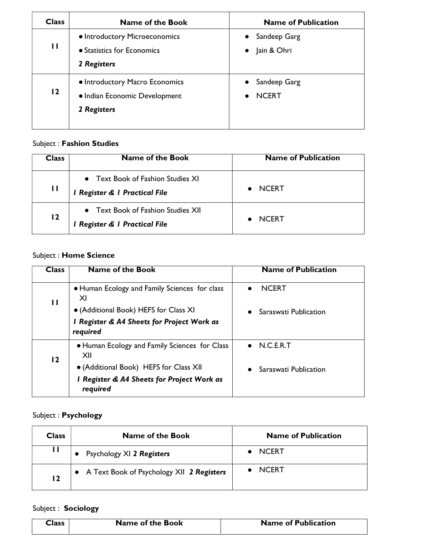| <b>Class</b>   | <b>Name of the Book</b>                                                        | <b>Name of Publication</b>                             |
|----------------|--------------------------------------------------------------------------------|--------------------------------------------------------|
| П              | • Introductory Microeconomics<br>• Statistics for Economics<br>2 Registers     | Sandeep Garg<br>$\bullet$<br>Jain & Ohri<br>$\bullet$  |
| $\overline{2}$ | • Introductory Macro Economics<br>• Indian Economic Development<br>2 Registers | Sandeep Garg<br>$\bullet$<br><b>NCERT</b><br>$\bullet$ |

## Subject : Fashion Studies

| Class | <b>Name of the Book</b>                                                            | <b>Name of Publication</b> |
|-------|------------------------------------------------------------------------------------|----------------------------|
| П     | <b>Text Book of Fashion Studies XI</b><br>$\bullet$<br>Register & I Practical File | <b>NCERT</b>               |
| 12    | Text Book of Fashion Studies XII<br>I Register & I Practical File                  | <b>NCFRT</b>               |

## Subject : Home Science

| <b>Class</b> | <b>Name of the Book</b>                                | <b>Name of Publication</b> |
|--------------|--------------------------------------------------------|----------------------------|
| П            | • Human Ecology and Family Sciences for class<br>XI    | <b>NCERT</b>               |
|              | • (Additional Book) HEFS for Class XI                  | Saraswati Publication      |
|              | I Register & A4 Sheets for Project Work as<br>required |                            |
| 12           | • Human Ecology and Family Sciences for Class<br>XII   | $\bullet$ N.C.E.R.T        |
|              | • (Additional Book) HEFS for Class XII                 | Saraswati Publication      |
|              | I Register & A4 Sheets for Project Work as<br>required |                            |

## Subject : Psychology

| <b>Class</b> | <b>Name of the Book</b>                     | <b>Name of Publication</b> |
|--------------|---------------------------------------------|----------------------------|
| - 11         | Psychology XI 2 Registers                   | <b>NCERT</b>               |
| 12           | • A Text Book of Psychology XII 2 Registers | <b>NCERT</b>               |

# Subject : Sociology

| Class | <b>Name of the Book</b> | <b>Name of Publication</b> |
|-------|-------------------------|----------------------------|
|       |                         |                            |
|       |                         |                            |